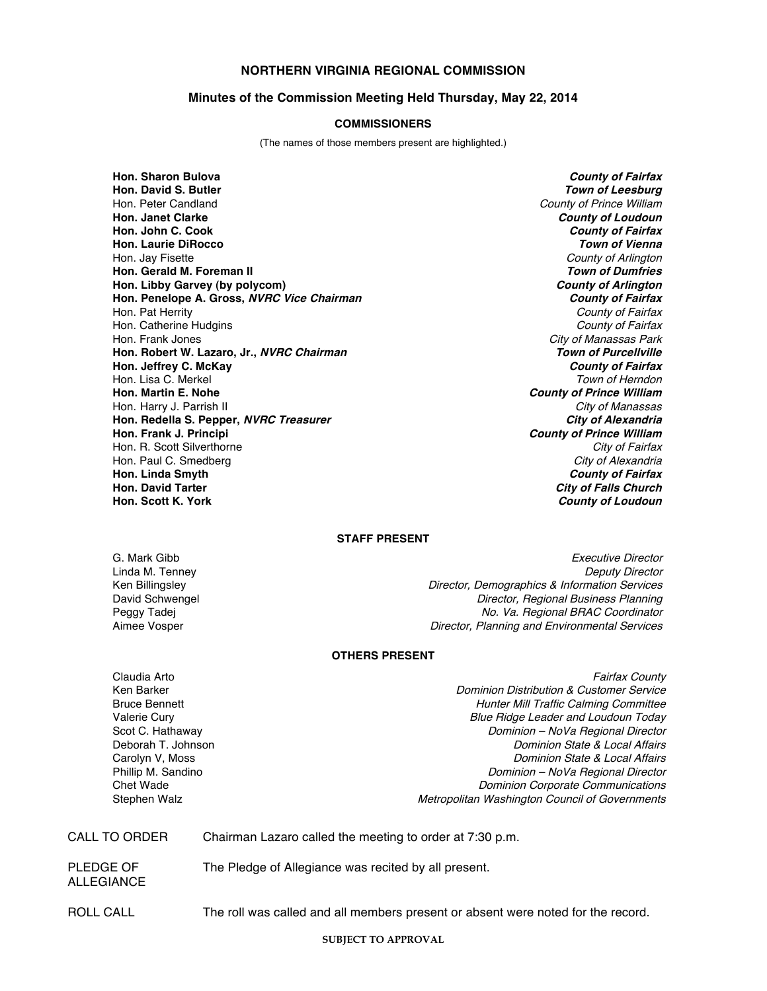# **NORTHERN VIRGINIA REGIONAL COMMISSION**

## **Minutes of the Commission Meeting Held Thursday, May 22, 2014**

### **COMMISSIONERS**

(The names of those members present are highlighted.)

**Hon. Sharon Bulova County of Fairfax Hon. David S. Butler Town of Leesburg Hon. Janet Clarke County of Loudoun Hon. John C. Cook County of Fairfax Hon. Laurie DiRocco Town of Vienna** Hon. Jay Fisette **County of Arlington** County of Arlington County of Arlington **Hon. Gerald M. Foreman II Town of Dumfries Hon. Libby Garvey (by polycom) County of Arlington Hon.** Penelope A. Gross, NVRC Vice Chairman Hon. Pat Herrity County of Fairfax Hon. Catherine Hudgins<br>Hon. Frank Jones **Hon. Robert W. Lazaro, Jr., NVRC Chairman Hon. Jeffrey C. McKay County of Fairfax** Hon. Lisa C. Merkel **Town of Herndon Hon. Martin E. Nohe County of Prince William** Hon. Harry J. Parrish II **Properties and The City of Manassas**<br>Hon. Redella S. Pepper. *NVRC Treasurer* (مال) and the City of Alexandria **Hon. Redella S. Pepper,** *NVRC Treasurer*<br>Hon. Frank J. Principi Hon. R. Scott Silverthorne City of Fairfax and City of Fairfax and City of Fairfax control of Fairfax control of Fairfax control of Fairfax control of Fairfax control of Fairfax control of Fairfax control of Fairfax contro Hon. Paul C. Smedberg<br>Hon. Linda Smyth **Hon. Linda Smyth County of Fairfax Hon. Scott K. York County of Loudoun**

County of Prince William **City of Manassas Park<br>Town of Purcellville Hon. Frank J. Principi County of Prince William Hon. David Tarter City of Falls Church**

#### **STAFF PRESENT**

G. Mark Gibb **Executive Director** Control of the Security of the Executive Director Linda M. Tenney<br>Ken Billingsley Neputy Director Director, Demographics & Information Services Ken Billingsley **New Strates and Services**<br>Director, Demographics & Information Services<br>Director, Regional Business Planning Director, Regional Business Planning Peggy Tadej (Peggy Tade) No. Va. Regional BRAC Coordinator<br>Aimee Vosper No. Va. Regional BRAC Coordinator (Planning and Environmental Services Director, Planning and Environmental Services

## **OTHERS PRESENT**

Claudia Arto **Fairfax County** Claudia Arto **Fairfax County** Claudia Arto **Fairfax County** Ken Barker New York Customer Service Customer Service Customer Service Customer Service Bruce Bennett **Hunter Mill Traffic Calming Committee** Valerie Cury **Valerie Cury 1999**<br>
Scot C. Hathaway **Blue Ridge Leader and Loudoun Today**<br>
Dominion – NoVa Regional Director Scot C. Hathaway **Subset Controller and Scot C. Hathaway** Dominion – Nova Regional Director<br>Deborah T. Johnson **Director Controller and Director** Dominion State & Local Affairs Deborah T. Johnson **Dominion State & Local Affairs**<br>Carolyn V, Moss Carolyn U, Moss Carolyn Dominion State & Local Affairs Dominion State & Local Affairs Phillip M. Sandino **Phillip M. Sandino**<br>Chet Wade **Dominion – Nova Regional Director**<br>Dominion Corporate Communications Chet Wade Communications<br>Chet Wade Dominion Corporate Communications<br>Metropolitan Washington Council of Governments Metropolitan Washington Council of Governments

| CALL TO ORDER |  | Chairman Lazaro called the meeting to order at 7:30 p.m. |  |  |  |
|---------------|--|----------------------------------------------------------|--|--|--|
|---------------|--|----------------------------------------------------------|--|--|--|

PLEDGE OF The Pledge of Allegiance was recited by all present.

ALLEGIANCE

ROLL CALL The roll was called and all members present or absent were noted for the record.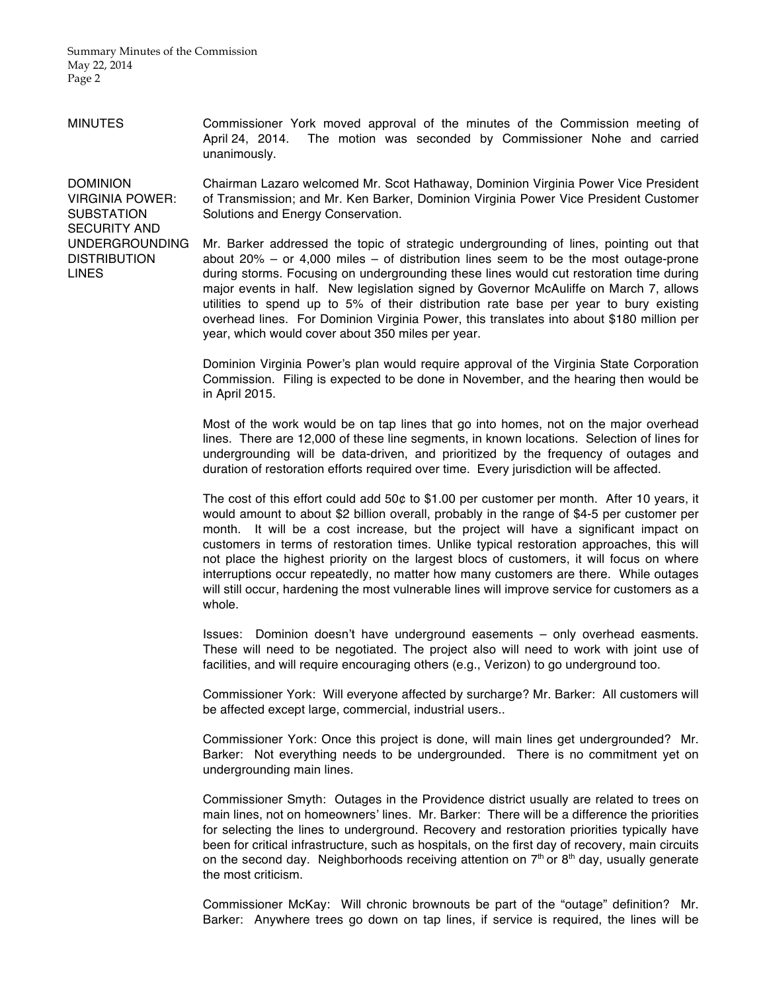MINUTES Commissioner York moved approval of the minutes of the Commission meeting of April 24, 2014. The motion was seconded by Commissioner Nohe and carried unanimously.

DOMINION VIRGINIA POWER: SUBSTATION SECURITY AND UNDERGROUNDING **DISTRIBUTION** LINES

Chairman Lazaro welcomed Mr. Scot Hathaway, Dominion Virginia Power Vice President of Transmission; and Mr. Ken Barker, Dominion Virginia Power Vice President Customer Solutions and Energy Conservation.

Mr. Barker addressed the topic of strategic undergrounding of lines, pointing out that about 20% – or 4,000 miles – of distribution lines seem to be the most outage-prone during storms. Focusing on undergrounding these lines would cut restoration time during major events in half. New legislation signed by Governor McAuliffe on March 7, allows utilities to spend up to 5% of their distribution rate base per year to bury existing overhead lines. For Dominion Virginia Power, this translates into about \$180 million per year, which would cover about 350 miles per year.

Dominion Virginia Power's plan would require approval of the Virginia State Corporation Commission. Filing is expected to be done in November, and the hearing then would be in April 2015.

Most of the work would be on tap lines that go into homes, not on the major overhead lines. There are 12,000 of these line segments, in known locations. Selection of lines for undergrounding will be data-driven, and prioritized by the frequency of outages and duration of restoration efforts required over time. Every jurisdiction will be affected.

The cost of this effort could add 50¢ to \$1.00 per customer per month. After 10 years, it would amount to about \$2 billion overall, probably in the range of \$4-5 per customer per month. It will be a cost increase, but the project will have a significant impact on customers in terms of restoration times. Unlike typical restoration approaches, this will not place the highest priority on the largest blocs of customers, it will focus on where interruptions occur repeatedly, no matter how many customers are there. While outages will still occur, hardening the most vulnerable lines will improve service for customers as a whole.

Issues: Dominion doesn't have underground easements – only overhead easments. These will need to be negotiated. The project also will need to work with joint use of facilities, and will require encouraging others (e.g., Verizon) to go underground too.

Commissioner York: Will everyone affected by surcharge? Mr. Barker: All customers will be affected except large, commercial, industrial users..

Commissioner York: Once this project is done, will main lines get undergrounded? Mr. Barker: Not everything needs to be undergrounded. There is no commitment yet on undergrounding main lines.

Commissioner Smyth: Outages in the Providence district usually are related to trees on main lines, not on homeowners' lines. Mr. Barker: There will be a difference the priorities for selecting the lines to underground. Recovery and restoration priorities typically have been for critical infrastructure, such as hospitals, on the first day of recovery, main circuits on the second day. Neighborhoods receiving attention on  $7<sup>th</sup>$  or  $8<sup>th</sup>$  day, usually generate the most criticism.

Commissioner McKay: Will chronic brownouts be part of the "outage" definition? Mr. Barker: Anywhere trees go down on tap lines, if service is required, the lines will be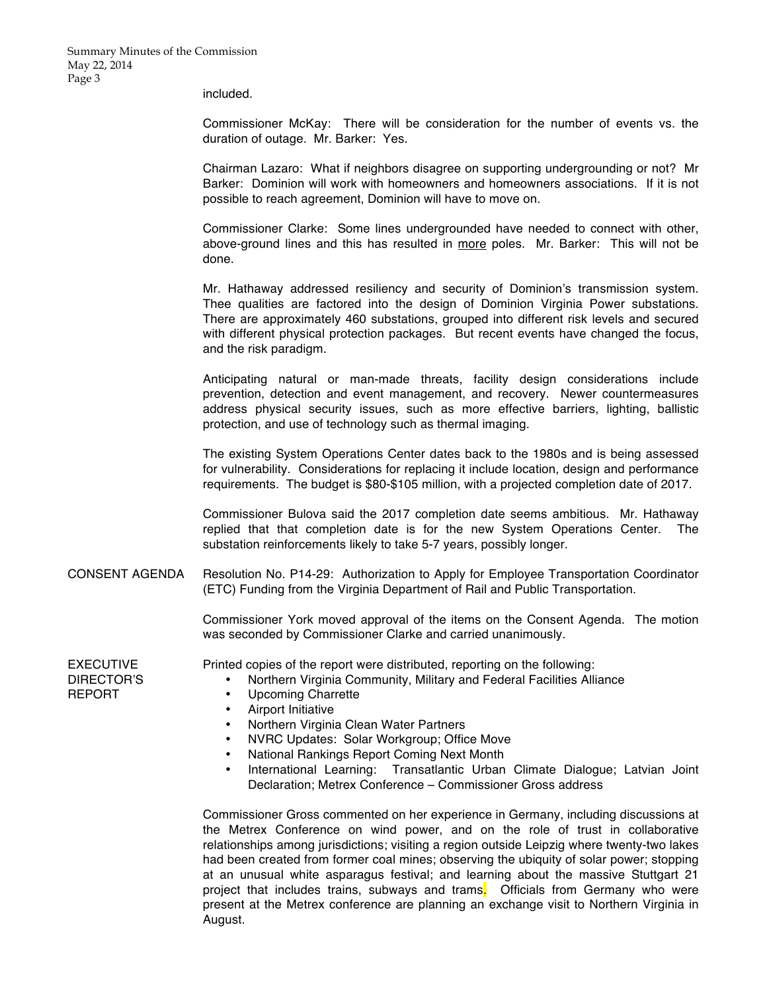included.

Commissioner McKay: There will be consideration for the number of events vs. the duration of outage. Mr. Barker: Yes.

Chairman Lazaro: What if neighbors disagree on supporting undergrounding or not? Mr Barker: Dominion will work with homeowners and homeowners associations. If it is not possible to reach agreement, Dominion will have to move on.

Commissioner Clarke: Some lines undergrounded have needed to connect with other, above-ground lines and this has resulted in more poles. Mr. Barker: This will not be done.

Mr. Hathaway addressed resiliency and security of Dominion's transmission system. Thee qualities are factored into the design of Dominion Virginia Power substations. There are approximately 460 substations, grouped into different risk levels and secured with different physical protection packages. But recent events have changed the focus, and the risk paradigm.

Anticipating natural or man-made threats, facility design considerations include prevention, detection and event management, and recovery. Newer countermeasures address physical security issues, such as more effective barriers, lighting, ballistic protection, and use of technology such as thermal imaging.

The existing System Operations Center dates back to the 1980s and is being assessed for vulnerability. Considerations for replacing it include location, design and performance requirements. The budget is \$80-\$105 million, with a projected completion date of 2017.

Commissioner Bulova said the 2017 completion date seems ambitious. Mr. Hathaway replied that that completion date is for the new System Operations Center. The substation reinforcements likely to take 5-7 years, possibly longer.

CONSENT AGENDA Resolution No. P14-29: Authorization to Apply for Employee Transportation Coordinator (ETC) Funding from the Virginia Department of Rail and Public Transportation.

> Commissioner York moved approval of the items on the Consent Agenda. The motion was seconded by Commissioner Clarke and carried unanimously.

EXECUTIVE DIRECTOR'S REPORT

Printed copies of the report were distributed, reporting on the following:

- Northern Virginia Community, Military and Federal Facilities Alliance
- Upcoming Charrette
- Airport Initiative
- Northern Virginia Clean Water Partners
- NVRC Updates: Solar Workgroup; Office Move
- National Rankings Report Coming Next Month
- International Learning: Transatlantic Urban Climate Dialogue; Latvian Joint Declaration; Metrex Conference – Commissioner Gross address

Commissioner Gross commented on her experience in Germany, including discussions at the Metrex Conference on wind power, and on the role of trust in collaborative relationships among jurisdictions; visiting a region outside Leipzig where twenty-two lakes had been created from former coal mines; observing the ubiquity of solar power; stopping at an unusual white asparagus festival; and learning about the massive Stuttgart 21 project that includes trains, subways and trams. Officials from Germany who were present at the Metrex conference are planning an exchange visit to Northern Virginia in August.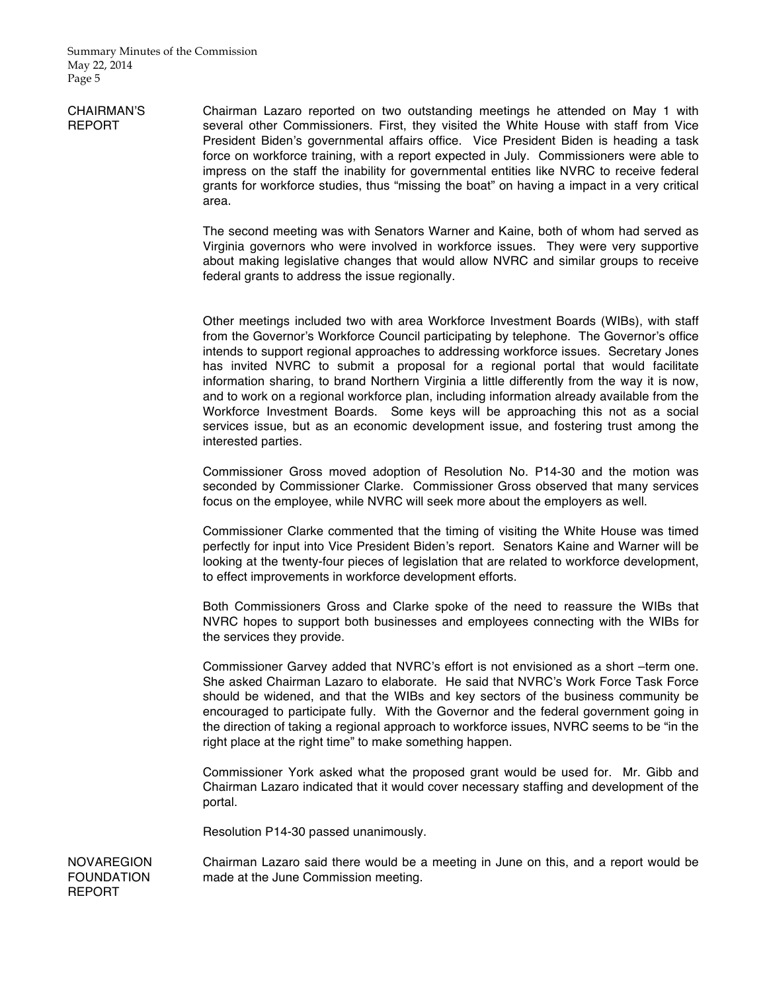CHAIRMAN'S REPORT Chairman Lazaro reported on two outstanding meetings he attended on May 1 with several other Commissioners. First, they visited the White House with staff from Vice President Biden's governmental affairs office. Vice President Biden is heading a task force on workforce training, with a report expected in July. Commissioners were able to impress on the staff the inability for governmental entities like NVRC to receive federal grants for workforce studies, thus "missing the boat" on having a impact in a very critical area.

> The second meeting was with Senators Warner and Kaine, both of whom had served as Virginia governors who were involved in workforce issues. They were very supportive about making legislative changes that would allow NVRC and similar groups to receive federal grants to address the issue regionally.

> Other meetings included two with area Workforce Investment Boards (WIBs), with staff from the Governor's Workforce Council participating by telephone. The Governor's office intends to support regional approaches to addressing workforce issues. Secretary Jones has invited NVRC to submit a proposal for a regional portal that would facilitate information sharing, to brand Northern Virginia a little differently from the way it is now, and to work on a regional workforce plan, including information already available from the Workforce Investment Boards. Some keys will be approaching this not as a social services issue, but as an economic development issue, and fostering trust among the interested parties.

> Commissioner Gross moved adoption of Resolution No. P14-30 and the motion was seconded by Commissioner Clarke. Commissioner Gross observed that many services focus on the employee, while NVRC will seek more about the employers as well.

> Commissioner Clarke commented that the timing of visiting the White House was timed perfectly for input into Vice President Biden's report. Senators Kaine and Warner will be looking at the twenty-four pieces of legislation that are related to workforce development, to effect improvements in workforce development efforts.

> Both Commissioners Gross and Clarke spoke of the need to reassure the WIBs that NVRC hopes to support both businesses and employees connecting with the WIBs for the services they provide.

> Commissioner Garvey added that NVRC's effort is not envisioned as a short –term one. She asked Chairman Lazaro to elaborate. He said that NVRC's Work Force Task Force should be widened, and that the WIBs and key sectors of the business community be encouraged to participate fully. With the Governor and the federal government going in the direction of taking a regional approach to workforce issues, NVRC seems to be "in the right place at the right time" to make something happen.

> Commissioner York asked what the proposed grant would be used for. Mr. Gibb and Chairman Lazaro indicated that it would cover necessary staffing and development of the portal.

Resolution P14-30 passed unanimously.

Chairman Lazaro said there would be a meeting in June on this, and a report would be made at the June Commission meeting.

**NOVAREGION** FOUNDATION REPORT